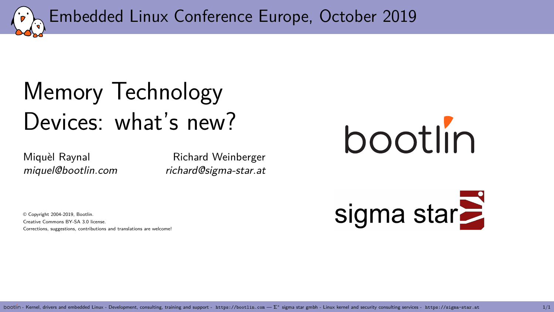<span id="page-0-0"></span>Embedded Linux Conference Europe, October 2019

# [Memory Technology](#page-0-0) [Devices: what's new?](#page-0-0)

Miquèl Raynal **Richard Weinberger** miquel@bootlin.com richard@sigma-star.at

© Copyright 2004-2019, Bootlin. Creative Commons BY-SA 3.0 license. Corrections, suggestions, contributions and translations are welcome!



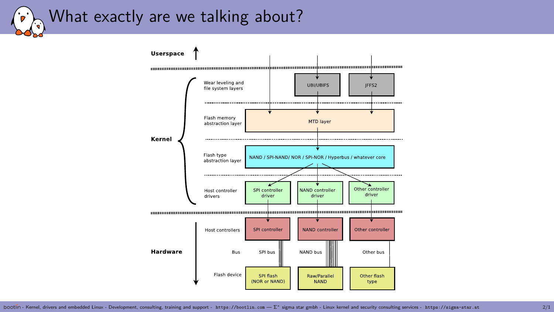#### What exactly are we talking about?  $\mathcal{L}$

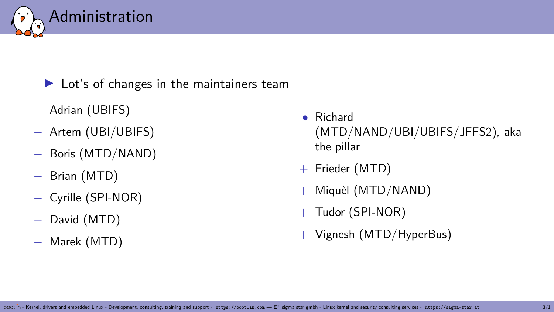

#### $\blacktriangleright$  Lot's of changes in the maintainers team

- − Adrian (UBIFS)
- − Artem (UBI/UBIFS)
- − Boris (MTD/NAND)
- − Brian (MTD)
- − Cyrille (SPI-NOR)
- − David (MTD)
- − Marek (MTD)
- Richard (MTD/NAND/UBI/UBIFS/JFFS2), aka the pillar
- + Frieder (MTD)
- + Miquèl (MTD/NAND)
- $+$  Tudor (SPI-NOR)
- + Vignesh (MTD/HyperBus)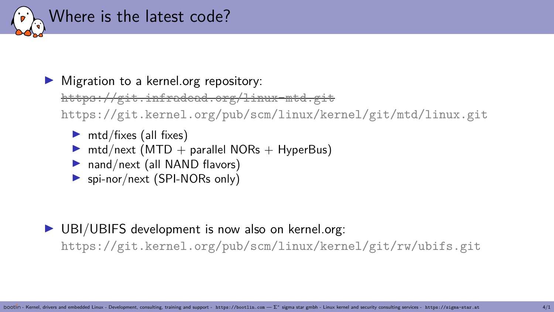

 $\blacktriangleright$  Migration to a kernel.org repository:

https://git.infradead.org/linux-mtd.git

https://git.kernel.org/pub/scm/linux/kernel/git/mtd/linux.git

- $\triangleright$  mtd/fixes (all fixes)
- $\triangleright$  mtd/next (MTD + parallel NORs + HyperBus)
- $\blacktriangleright$  nand/next (all NAND flavors)
- $\triangleright$  spi-nor/next (SPI-NORs only)

 $\triangleright$  UBI/UBIFS development is now also on kernel.org: https://git.kernel.org/pub/scm/linux/kernel/git/rw/ubifs.git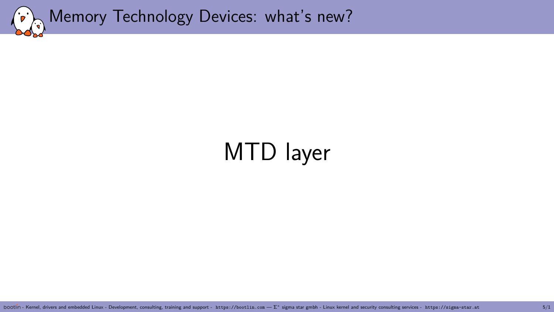<span id="page-4-0"></span>

# [MTD layer](#page-4-0)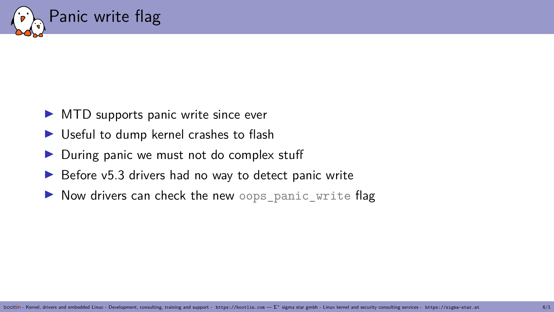

- $\triangleright$  MTD supports panic write since ever
- $\triangleright$  Useful to dump kernel crashes to flash
- $\triangleright$  During panic we must not do complex stuff
- $\triangleright$  Before v5.3 drivers had no way to detect panic write
- $\triangleright$  Now drivers can check the new oops panic write flag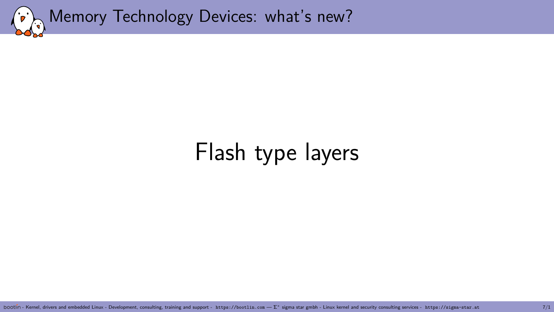<span id="page-6-0"></span>

## [Flash type layers](#page-6-0)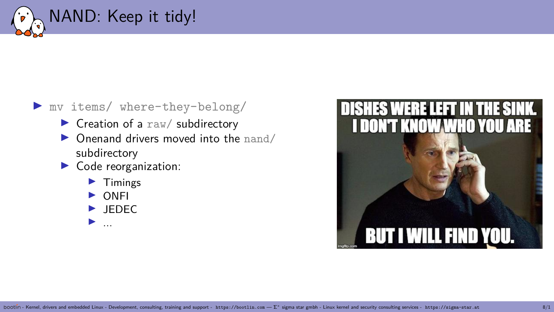

#### I mv items/ where-they-belong/

- $\blacktriangleright$  Creation of a raw/ subdirectory
- $\triangleright$  Onenand drivers moved into the nand/ subdirectory
- $\triangleright$  Code reorganization:
	- **Timings**
	- **ONFI**
	- $\blacktriangleright$  JEDEC
	- $\blacktriangleright$  ...

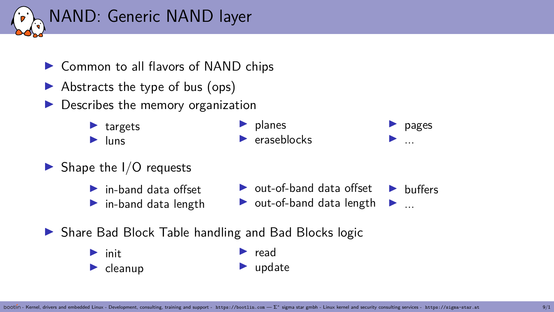

- ▶ Common to all flavors of NAND chips
- $\blacktriangleright$  Abstracts the type of bus (ops)
- Describes the memory organization
	- $\blacktriangleright$  targets  $\blacktriangleright$  luns

 $\blacktriangleright$  planes  $\blacktriangleright$  eraseblocks

- $\blacktriangleright$  Shape the I/O requests
	- $\blacktriangleright$  in-band data offset
	- $\blacktriangleright$  in-band data length
- $\triangleright$  out-of-band data offset ► out-of-band data length ►  $\blacktriangleright$  buffers

 $\blacktriangleright$  pages I ...

- $\triangleright$  Share Bad Block Table handling and Bad Blocks logic
	- $\blacktriangleright$  init  $\blacktriangleright$  cleanup

 $\blacktriangleright$  read  $\blacktriangleright$  update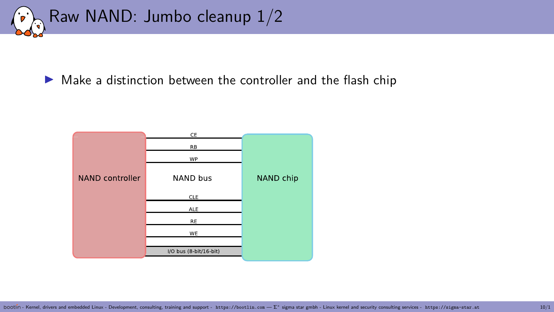

 $\triangleright$  Make a distinction between the controller and the flash chip

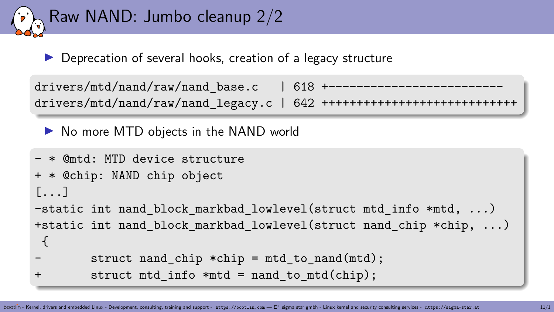

 $\triangleright$  Deprecation of several hooks, creation of a legacy structure

```
drivers/mtd/nand/raw/nand base.c | 618 +
drives/mtd/namd/raw/nand legacy.c | 642 ++++++++++++++++++++++
```
▶ No more MTD objects in the NAND world

```
- * @mtd: MTD device structure
+ * @chip: NAND chip object
[1, 1]-static int nand block markbad lowlevel(struct mtd info *mtd, ...)
+static int nand block markbad lowlevel(struct nand chip *chip, ...)
 {
        struct nand chip *chip = mtd to nand(mtd);
+ struct mtd info *mtd = nand to mtd(chip);
```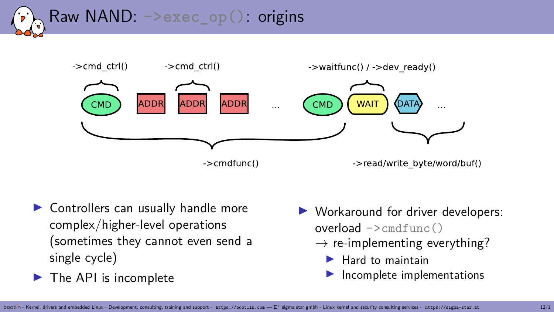



- $\blacktriangleright$  Controllers can usually handle more complex/higher-level operations (sometimes they cannot even send a single cycle)
- $\blacktriangleright$  The API is incomplete
- Workaround for driver developers:  $overload$  ->cmdfunc()
	- $\rightarrow$  re-implementing everything?
		- $\blacktriangleright$  Hard to maintain
		- Incomplete implementations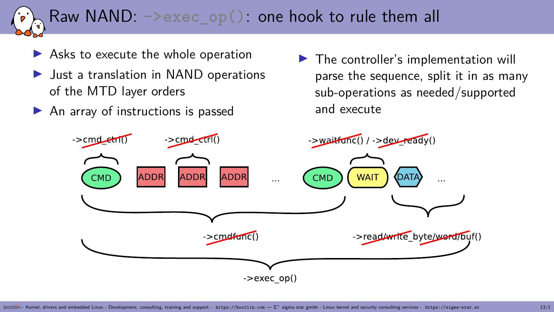# Raw NAND: **->exec\_op()**: one hook to rule them all

- $\blacktriangleright$  Asks to execute the whole operation
- $\blacktriangleright$  Just a translation in NAND operations of the MTD layer orders
- $\blacktriangleright$  An array of instructions is passed

 $\blacktriangleright$  The controller's implementation will parse the sequence, split it in as many sub-operations as needed/supported and execute

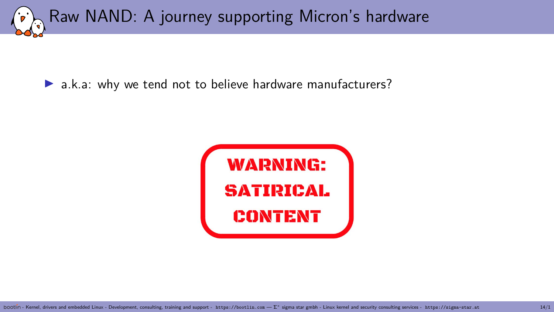Raw NAND: A journey supporting Micron's hardware

 $\blacktriangleright$  a.k.a: why we tend not to believe hardware manufacturers?

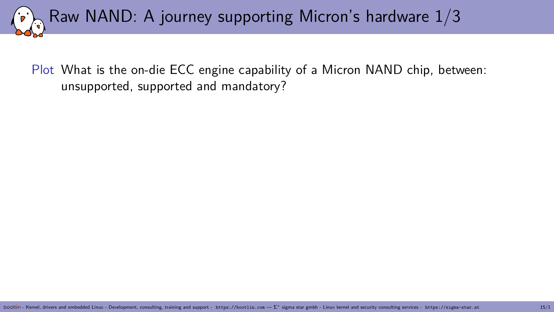Raw NAND: A journey supporting Micron's hardware 1/3

Plot What is the on-die ECC engine capability of a Micron NAND chip, between: unsupported, supported and mandatory?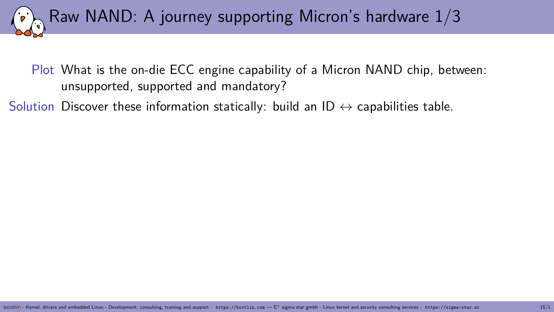Raw NAND: A journey supporting Micron's hardware 1/3

Plot What is the on-die ECC engine capability of a Micron NAND chip, between: unsupported, supported and mandatory?

Solution Discover these information statically: build an ID  $\leftrightarrow$  capabilities table.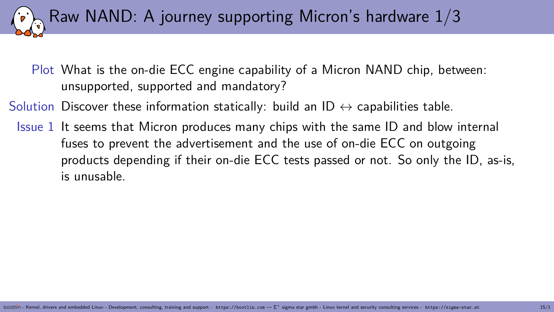Plot What is the on-die ECC engine capability of a Micron NAND chip, between: unsupported, supported and mandatory?

Raw NAND: A journey supporting Micron's hardware 1/3

Solution Discover these information statically: build an ID  $\leftrightarrow$  capabilities table.

Issue 1 It seems that Micron produces many chips with the same ID and blow internal fuses to prevent the advertisement and the use of on-die ECC on outgoing products depending if their on-die ECC tests passed or not. So only the ID, as-is, is unusable.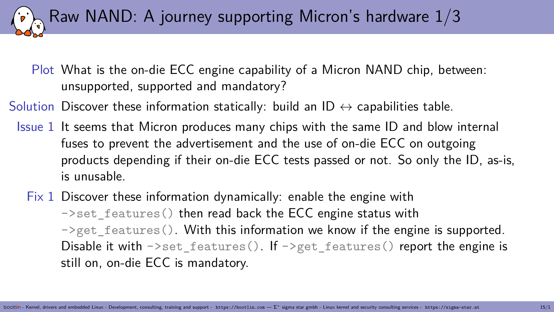Plot What is the on-die ECC engine capability of a Micron NAND chip, between: unsupported, supported and mandatory?

Raw NAND: A journey supporting Micron's hardware 1/3

Solution Discover these information statically: build an ID  $\leftrightarrow$  capabilities table.

- Issue 1 It seems that Micron produces many chips with the same ID and blow internal fuses to prevent the advertisement and the use of on-die ECC on outgoing products depending if their on-die ECC tests passed or not. So only the ID, as-is, is unusable.
	- Fix 1 Discover these information dynamically: enable the engine with ->set features() then read back the ECC engine status with  $\rightarrow$ get features(). With this information we know if the engine is supported. Disable it with  $\sim$  set features(). If  $\sim$  get features() report the engine is still on, on-die ECC is mandatory.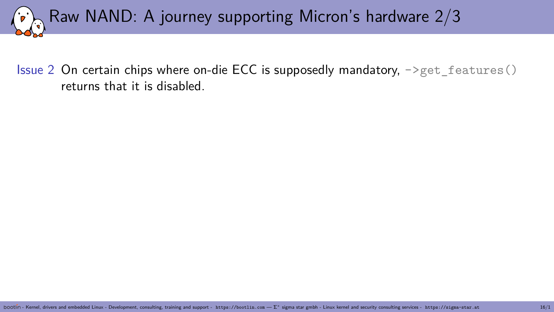

Issue 2 On certain chips where on-die ECC is supposedly mandatory,  $-\text{2}$ get features() returns that it is disabled.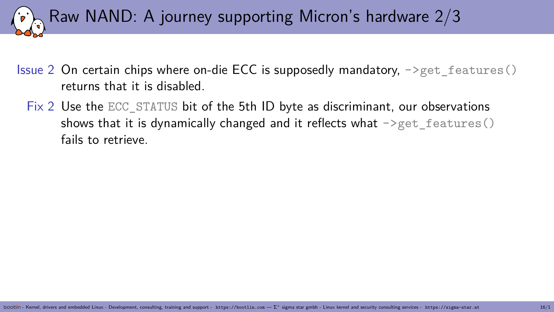

- Issue 2 On certain chips where on-die ECC is supposedly mandatory,  $\rightarrow$ get features() returns that it is disabled.
	- Fix 2 Use the ECC\_STATUS bit of the 5th ID byte as discriminant, our observations shows that it is dynamically changed and it reflects what  $\rightarrow$ get features() fails to retrieve.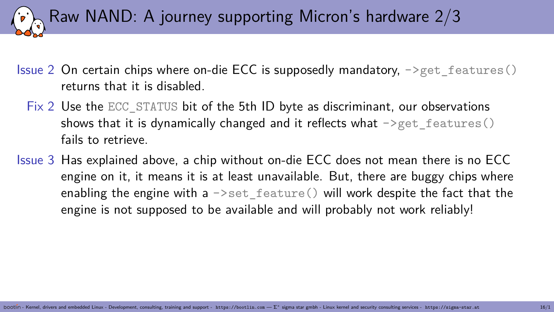Raw NAND: A journey supporting Micron's hardware 2/3

- Issue 2 On certain chips where on-die ECC is supposedly mandatory,  $\rightarrow$ get features() returns that it is disabled.
	- Fix 2 Use the ECC\_STATUS bit of the 5th ID byte as discriminant, our observations shows that it is dynamically changed and it reflects what  $\rightarrow$ get features() fails to retrieve.
- Issue 3 Has explained above, a chip without on-die ECC does not mean there is no ECC engine on it, it means it is at least unavailable. But, there are buggy chips where enabling the engine with a  $\rightarrow$ set feature() will work despite the fact that the engine is not supposed to be available and will probably not work reliably!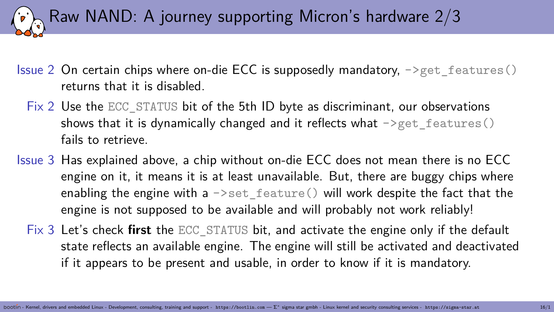Raw NAND: A journey supporting Micron's hardware 2/3

- Issue 2 On certain chips where on-die ECC is supposedly mandatory,  $-\text{2}$ get features() returns that it is disabled.
	- Fix 2 Use the ECC\_STATUS bit of the 5th ID byte as discriminant, our observations shows that it is dynamically changed and it reflects what  $\rightarrow$ get features() fails to retrieve.
- Issue 3 Has explained above, a chip without on-die ECC does not mean there is no ECC engine on it, it means it is at least unavailable. But, there are buggy chips where enabling the engine with a  $\rightarrow$ set feature() will work despite the fact that the engine is not supposed to be available and will probably not work reliably!
	- Fix 3 Let's check **first** the ECC\_STATUS bit, and activate the engine only if the default state reflects an available engine. The engine will still be activated and deactivated if it appears to be present and usable, in order to know if it is mandatory.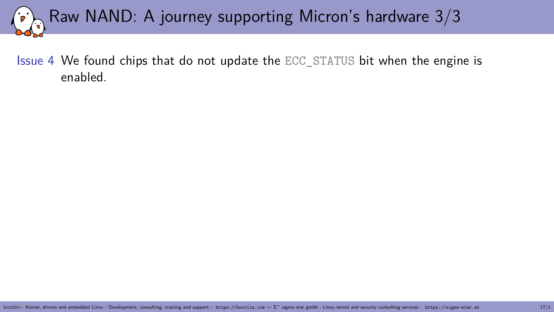# Raw NAND: A journey supporting Micron's hardware 3/3

Issue 4 We found chips that do not update the ECC\_STATUS bit when the engine is enabled.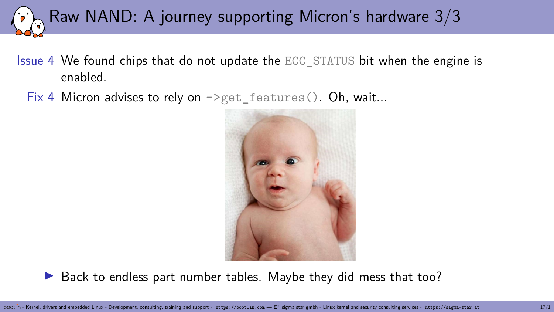

- Issue 4 We found chips that do not update the ECC\_STATUS bit when the engine is enabled.
	- Fix 4 Micron advises to rely on  $\rightarrow$  get\_features(). Oh, wait...



 $\triangleright$  Back to endless part number tables. Maybe they did mess that too?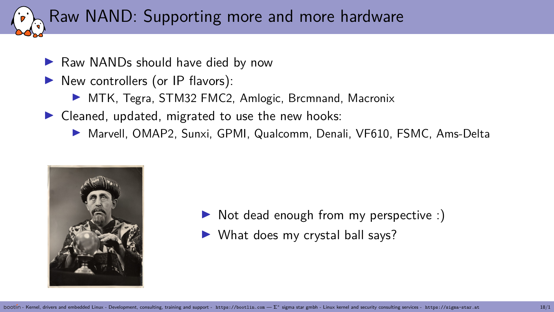# Raw NAND: Supporting more and more hardware

- $\blacktriangleright$  Raw NANDs should have died by now
- $\blacktriangleright$  New controllers (or IP flavors):
	- ▶ MTK, Tegra, STM32 FMC2, Amlogic, Brcmnand, Macronix
- $\triangleright$  Cleaned, updated, migrated to use the new hooks:
	- ▶ Marvell, OMAP2, Sunxi, GPMI, Qualcomm, Denali, VF610, FSMC, Ams-Delta



- $\triangleright$  Not dead enough from my perspective :)
- $\blacktriangleright$  What does my crystal ball says?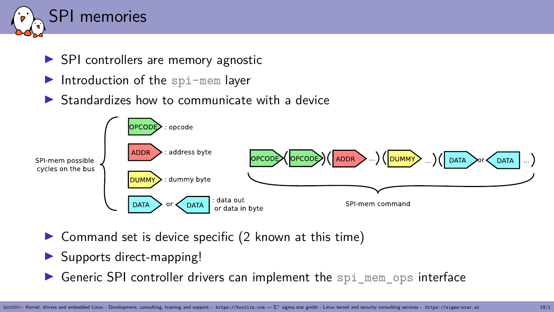

- $\triangleright$  SPI controllers are memory agnostic
- Introduction of the  $\text{spin-mem}$  layer
- $\triangleright$  Standardizes how to communicate with a device



- $\triangleright$  Command set is device specific (2 known at this time)
- $\triangleright$  Supports direct-mapping!
- $\triangleright$  Generic SPI controller drivers can implement the spi\_mem\_ops interface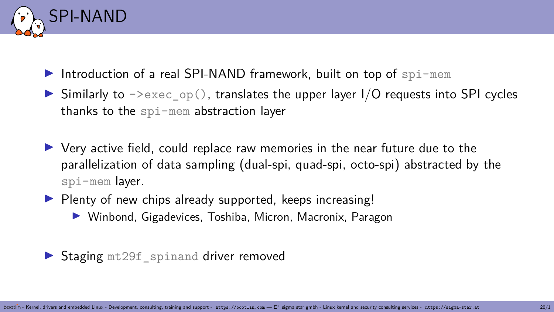

- Introduction of a real SPI-NAND framework, built on top of  $\text{sol-mem}$
- $\triangleright$  Similarly to  $\triangleright$   $\triangleright$   $\text{exec\_op}()$ , translates the upper layer I/O requests into SPI cycles thanks to the spi-mem abstraction layer
- I Very active field, could replace raw memories in the near future due to the parallelization of data sampling (dual-spi, quad-spi, octo-spi) abstracted by the spi-mem layer.
- $\blacktriangleright$  Plenty of new chips already supported, keeps increasing!
	- ▶ Winbond, Gigadevices, Toshiba, Micron, Macronix, Paragon

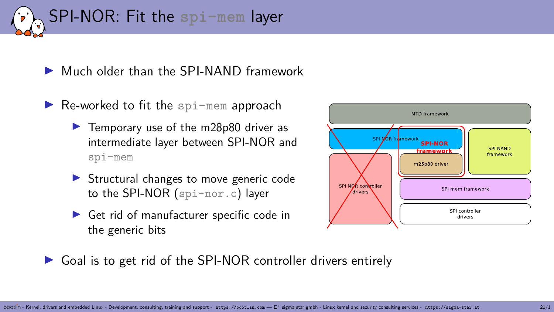

▶ Much older than the SPI-NAND framework

- $\blacktriangleright$  Re-worked to fit the spi-mem approach
	- $\blacktriangleright$  Temporary use of the m28p80 driver as intermediate layer between SPI-NOR and spi-mem
	- $\triangleright$  Structural changes to move generic code to the SPI-NOR (spi-nor.c) layer
	- $\blacktriangleright$  Get rid of manufacturer specific code in the generic bits



 $\triangleright$  Goal is to get rid of the SPI-NOR controller drivers entirely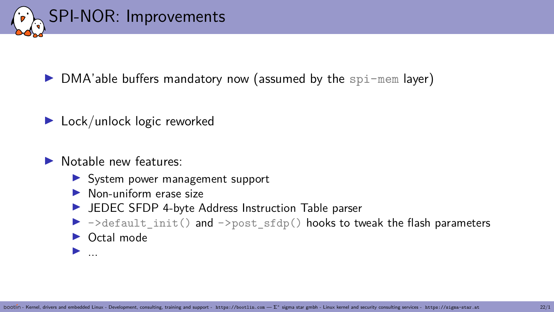

 $\triangleright$  DMA'able buffers mandatory now (assumed by the spi-mem layer)

- $\blacktriangleright$  Lock/unlock logic reworked
- Motable new features:
	- $\triangleright$  System power management support
	- $\blacktriangleright$  Non-uniform erase size
	- $\blacktriangleright$  JEDEC SFDP 4-byte Address Instruction Table parser
	- $\triangleright$  ->default init() and ->post sfdp() hooks to tweak the flash parameters
	- $\triangleright$  Octal mode

 $\blacktriangleright$  . . .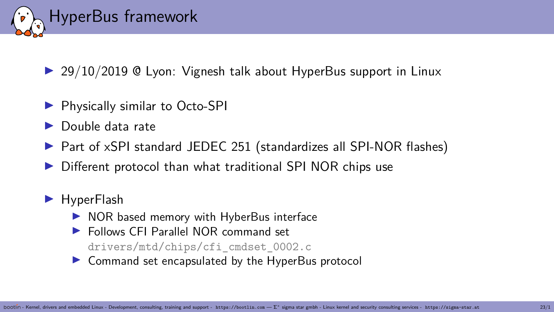

 $\triangleright$  29/10/2019 @ Lyon: Vignesh talk about HyperBus support in Linux

- ▶ Physically similar to Octo-SPI
- I Double data rate
- ▶ Part of xSPI standard JEDEC 251 (standardizes all SPI-NOR flashes)
- Different protocol than what traditional SPI NOR chips use

#### $\blacktriangleright$  HyperFlash

- $\triangleright$  NOR based memory with HyberBus interface
- ▶ Follows CEI Parallel NOR command set drivers/mtd/chips/cfi\_cmdset\_0002.c
- $\triangleright$  Command set encapsulated by the HyperBus protocol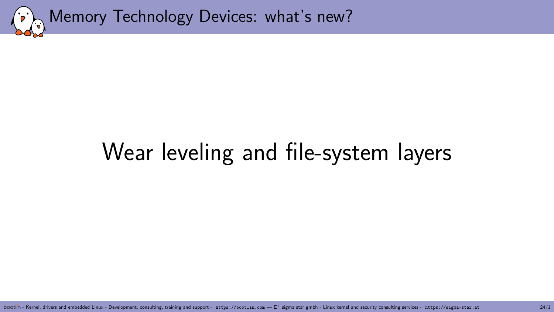<span id="page-30-0"></span>

## [Wear leveling and file-system layers](#page-30-0)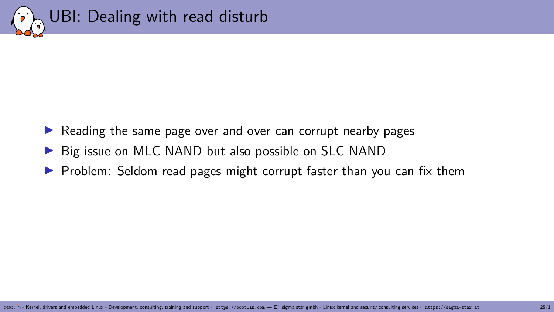

- $\triangleright$  Reading the same page over and over can corrupt nearby pages
- $\triangleright$  Big issue on MLC NAND but also possible on SLC NAND
- $\triangleright$  Problem: Seldom read pages might corrupt faster than you can fix them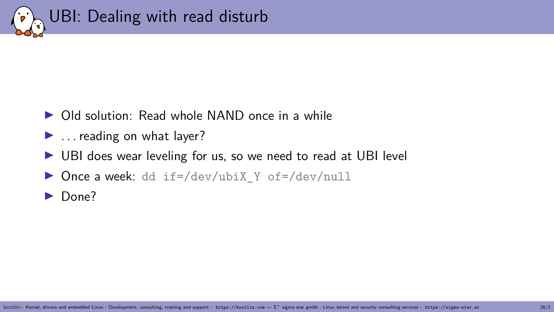

- ▶ Old solution: Read whole NAND once in a while
- $\blacktriangleright$  . reading on what layer?
- ▶ UBI does wear leveling for us, so we need to read at UBI level
- ▶ Once a week: dd if=/dev/ubiX\_Y of=/dev/null
- $\blacktriangleright$  Done?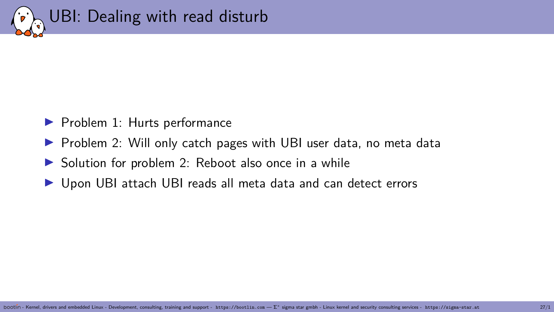

- $\blacktriangleright$  Problem 1: Hurts performance
- $\triangleright$  Problem 2: Will only catch pages with UBI user data, no meta data
- $\triangleright$  Solution for problem 2: Reboot also once in a while
- Upon UBI attach UBI reads all meta data and can detect errors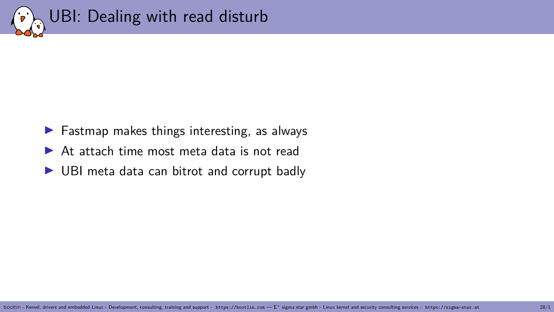

- $\blacktriangleright$  Fastmap makes things interesting, as always
- $\triangleright$  At attach time most meta data is not read
- $\triangleright$  UBI meta data can bitrot and corrupt badly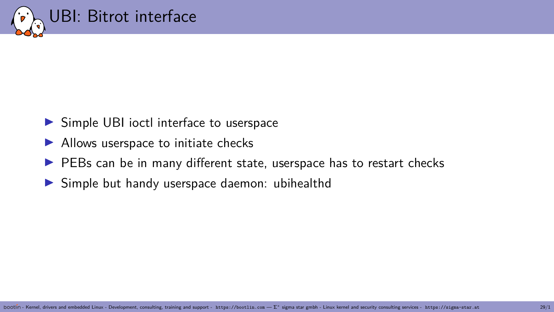

- $\triangleright$  Simple UBI ioctl interface to userspace
- $\blacktriangleright$  Allows userspace to initiate checks
- $\blacktriangleright$  PEBs can be in many different state, userspace has to restart checks
- $\triangleright$  Simple but handy userspace daemon: ubihealthd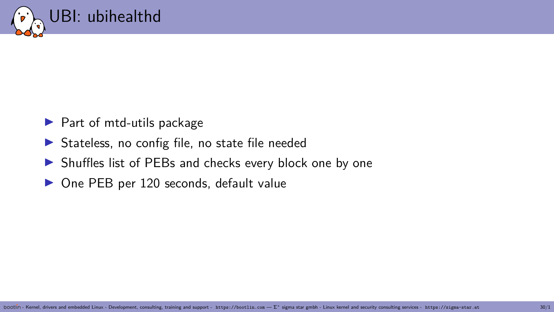

- $\blacktriangleright$  Part of mtd-utils package
- $\triangleright$  Stateless, no config file, no state file needed
- $\triangleright$  Shuffles list of PEBs and checks every block one by one
- $\triangleright$  One PEB per 120 seconds, default value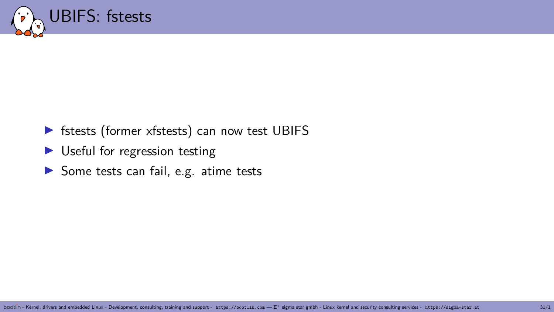

#### $\triangleright$  fstests (former xfstests) can now test UBIFS

- $\blacktriangleright$  Useful for regression testing
- $\triangleright$  Some tests can fail, e.g. atime tests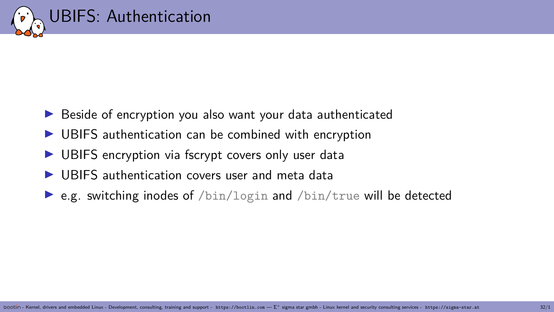

- $\triangleright$  Beside of encryption you also want your data authenticated
- $\triangleright$  UBIFS authentication can be combined with encryption
- $\triangleright$  UBIFS encryption via fscrypt covers only user data
- I UBIFS authentication covers user and meta data
- e.g. switching inodes of  $\sin/\log n$  and  $\sin/\tan \theta$  will be detected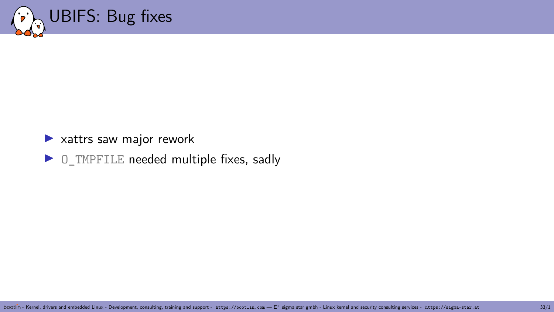

#### $\blacktriangleright$  xattrs saw major rework

 $\triangleright$  O\_TMPFILE needed multiple fixes, sadly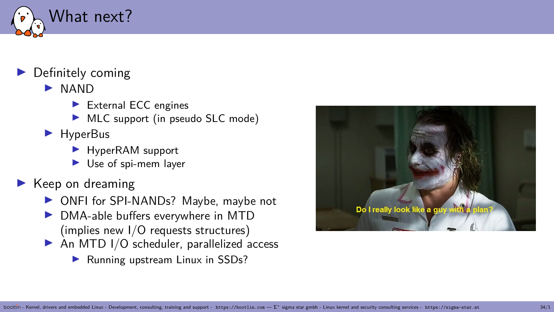

#### $\blacktriangleright$  Definitely coming

- $\blacktriangleright$  NAND
	- $\blacktriangleright$  External ECC engines
	- $\triangleright$  MLC support (in pseudo SLC mode)
- $\blacktriangleright$  HyperBus
	- $\blacktriangleright$  HyperRAM support
	- $\blacktriangleright$  Use of spi-mem layer
- $\blacktriangleright$  Keep on dreaming
	- ▶ ONFI for SPI-NANDs? Maybe, maybe not
	- $\triangleright$  DMA-able buffers everywhere in MTD (implies new I/O requests structures)
	- $\triangleright$  An MTD I/O scheduler, parallelized access
		- $\blacktriangleright$  Running upstream Linux in SSDs?